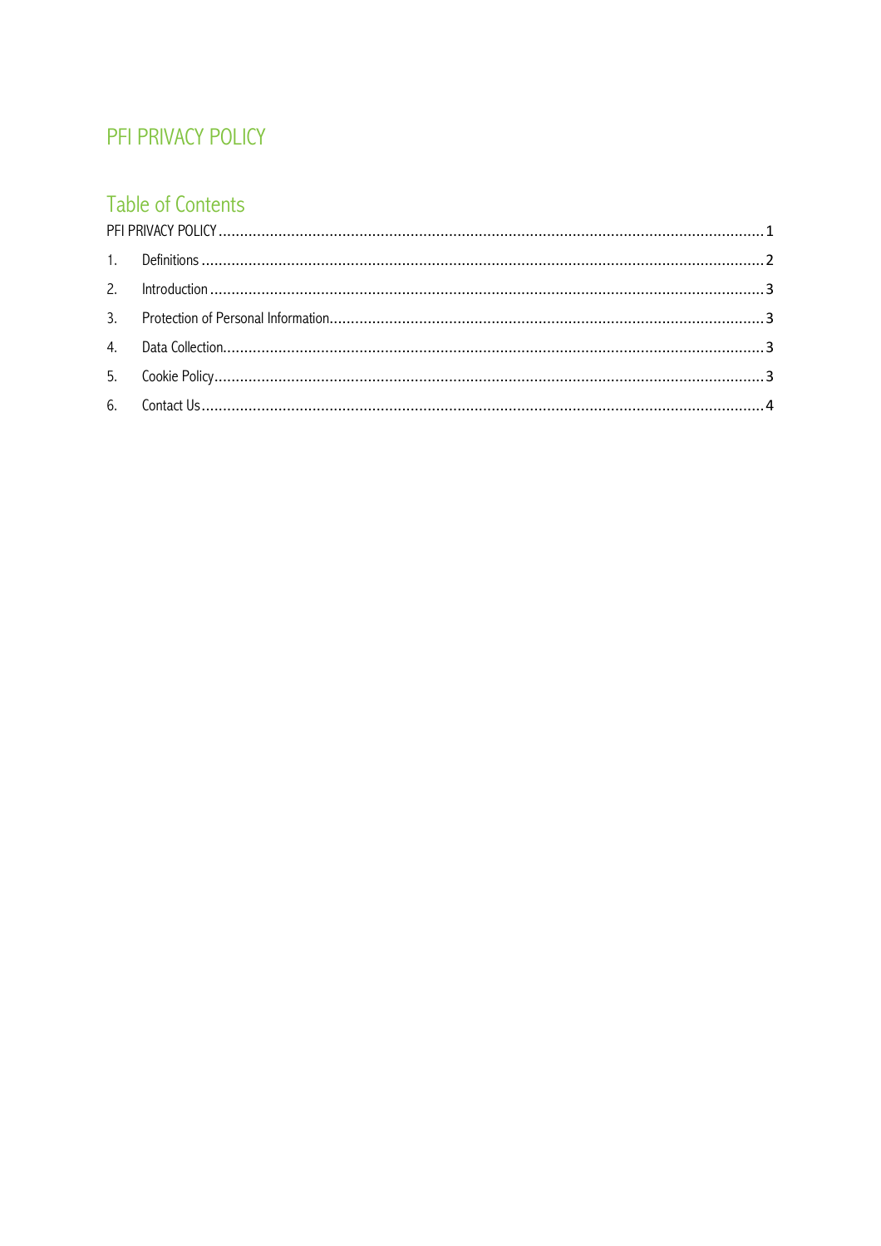# PFI PRIVACY POLICY

## **Table of Contents**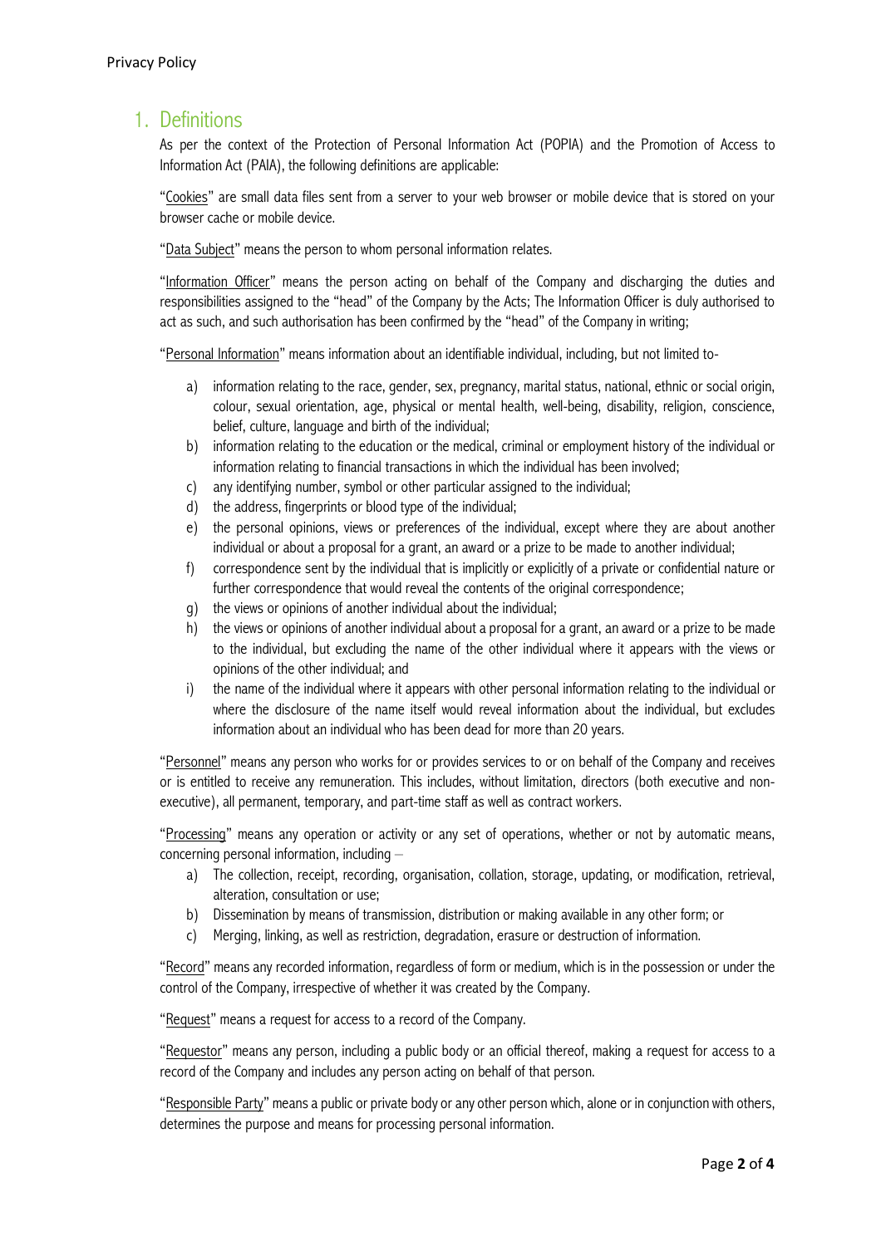### 1. Definitions

As per the context of the Protection of Personal Information Act (POPIA) and the Promotion of Access to Information Act (PAIA), the following definitions are applicable:

"Cookies" are small data files sent from a server to your web browser or mobile device that is stored on your browser cache or mobile device.

"Data Subject" means the person to whom personal information relates.

"Information Officer" means the person acting on behalf of the Company and discharging the duties and responsibilities assigned to the "head" of the Company by the Acts; The Information Officer is duly authorised to act as such, and such authorisation has been confirmed by the "head" of the Company in writing;

"Personal Information" means information about an identifiable individual, including, but not limited to-

- a) information relating to the race, gender, sex, pregnancy, marital status, national, ethnic or social origin, colour, sexual orientation, age, physical or mental health, well-being, disability, religion, conscience, belief, culture, language and birth of the individual;
- b) information relating to the education or the medical, criminal or employment history of the individual or information relating to financial transactions in which the individual has been involved;
- c) any identifying number, symbol or other particular assigned to the individual;
- d) the address, fingerprints or blood type of the individual;
- e) the personal opinions, views or preferences of the individual, except where they are about another individual or about a proposal for a grant, an award or a prize to be made to another individual;
- f) correspondence sent by the individual that is implicitly or explicitly of a private or confidential nature or further correspondence that would reveal the contents of the original correspondence;
- g) the views or opinions of another individual about the individual;
- h) the views or opinions of another individual about a proposal for a grant, an award or a prize to be made to the individual, but excluding the name of the other individual where it appears with the views or opinions of the other individual; and
- i) the name of the individual where it appears with other personal information relating to the individual or where the disclosure of the name itself would reveal information about the individual, but excludes information about an individual who has been dead for more than 20 years.

"Personnel" means any person who works for or provides services to or on behalf of the Company and receives or is entitled to receive any remuneration. This includes, without limitation, directors (both executive and nonexecutive), all permanent, temporary, and part-time staff as well as contract workers.

"Processing" means any operation or activity or any set of operations, whether or not by automatic means, concerning personal information, including –

- a) The collection, receipt, recording, organisation, collation, storage, updating, or modification, retrieval, alteration, consultation or use;
- b) Dissemination by means of transmission, distribution or making available in any other form; or
- c) Merging, linking, as well as restriction, degradation, erasure or destruction of information.

"Record" means any recorded information, regardless of form or medium, which is in the possession or under the control of the Company, irrespective of whether it was created by the Company.

"Request" means a request for access to a record of the Company.

"Requestor" means any person, including a public body or an official thereof, making a request for access to a record of the Company and includes any person acting on behalf of that person.

"Responsible Party" means a public or private body or any other person which, alone or in conjunction with others, determines the purpose and means for processing personal information.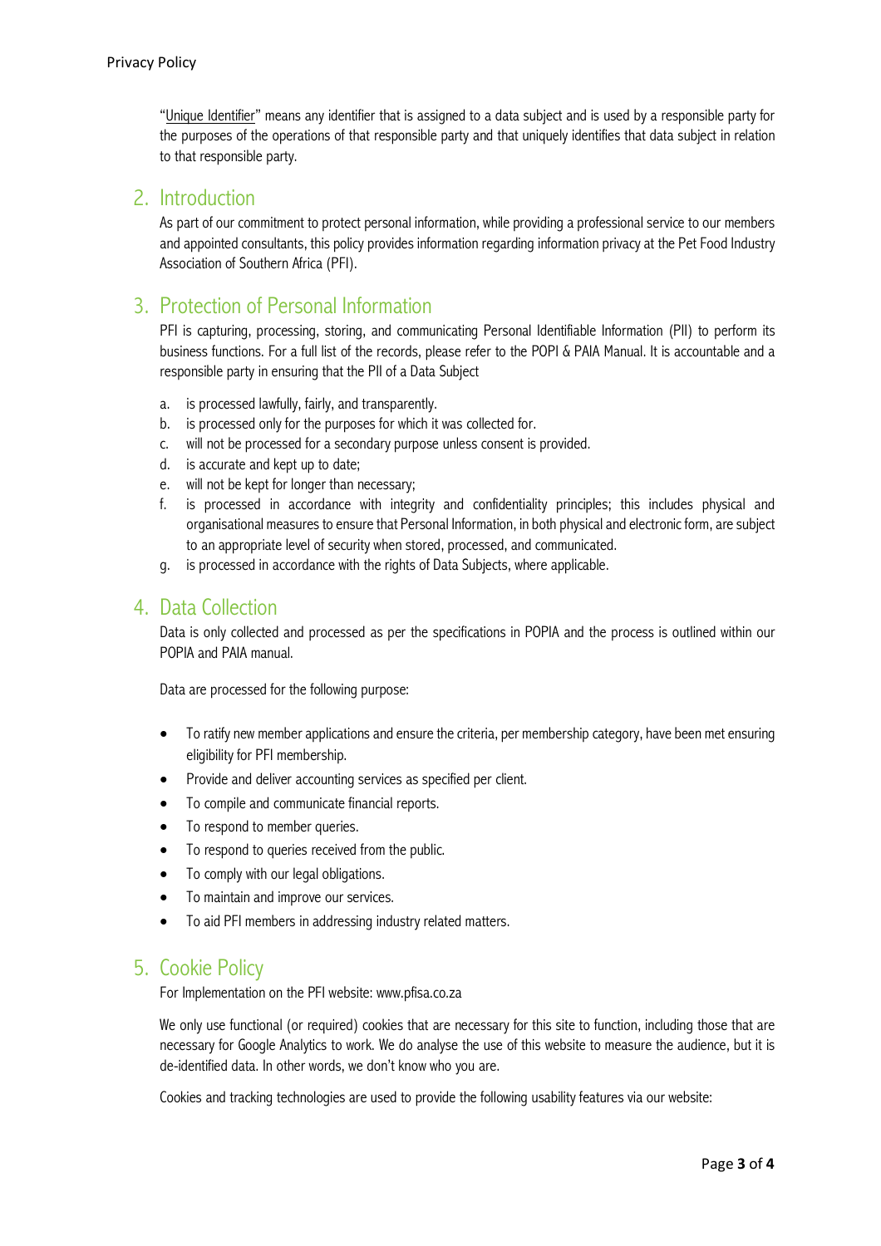"Unique Identifier" means any identifier that is assigned to a data subject and is used by a responsible party for the purposes of the operations of that responsible party and that uniquely identifies that data subject in relation to that responsible party.

#### 2. Introduction

As part of our commitment to protect personal information, while providing a professional service to our members and appointed consultants, this policy provides information regarding information privacy at the Pet Food Industry Association of Southern Africa (PFI).

### 3. Protection of Personal Information

PFI is capturing, processing, storing, and communicating Personal Identifiable Information (PII) to perform its business functions. For a full list of the records, please refer to the POPI & PAIA Manual. It is accountable and a responsible party in ensuring that the PII of a Data Subject

- a. is processed lawfully, fairly, and transparently.
- b. is processed only for the purposes for which it was collected for.
- c. will not be processed for a secondary purpose unless consent is provided.
- d. is accurate and kept up to date;
- e. will not be kept for longer than necessary;
- f. is processed in accordance with integrity and confidentiality principles; this includes physical and organisational measures to ensure that Personal Information, in both physical and electronic form, are subject to an appropriate level of security when stored, processed, and communicated.
- g. is processed in accordance with the rights of Data Subjects, where applicable.

#### 4. Data Collection

Data is only collected and processed as per the specifications in POPIA and the process is outlined within our POPIA and PAIA manual.

Data are processed for the following purpose:

- To ratify new member applications and ensure the criteria, per membership category, have been met ensuring eligibility for PFI membership.
- Provide and deliver accounting services as specified per client.
- To compile and communicate financial reports.
- To respond to member queries.
- To respond to queries received from the public.
- To comply with our legal obligations.
- To maintain and improve our services.
- To aid PFI members in addressing industry related matters.

#### 5. Cookie Policy

For Implementation on the PFI website: www.pfisa.co.za

We only use functional (or required) cookies that are necessary for this site to function, including those that are necessary for Google Analytics to work. We do analyse the use of this website to measure the audience, but it is de-identified data. In other words, we don't know who you are.

Cookies and tracking technologies are used to provide the following usability features via our website: